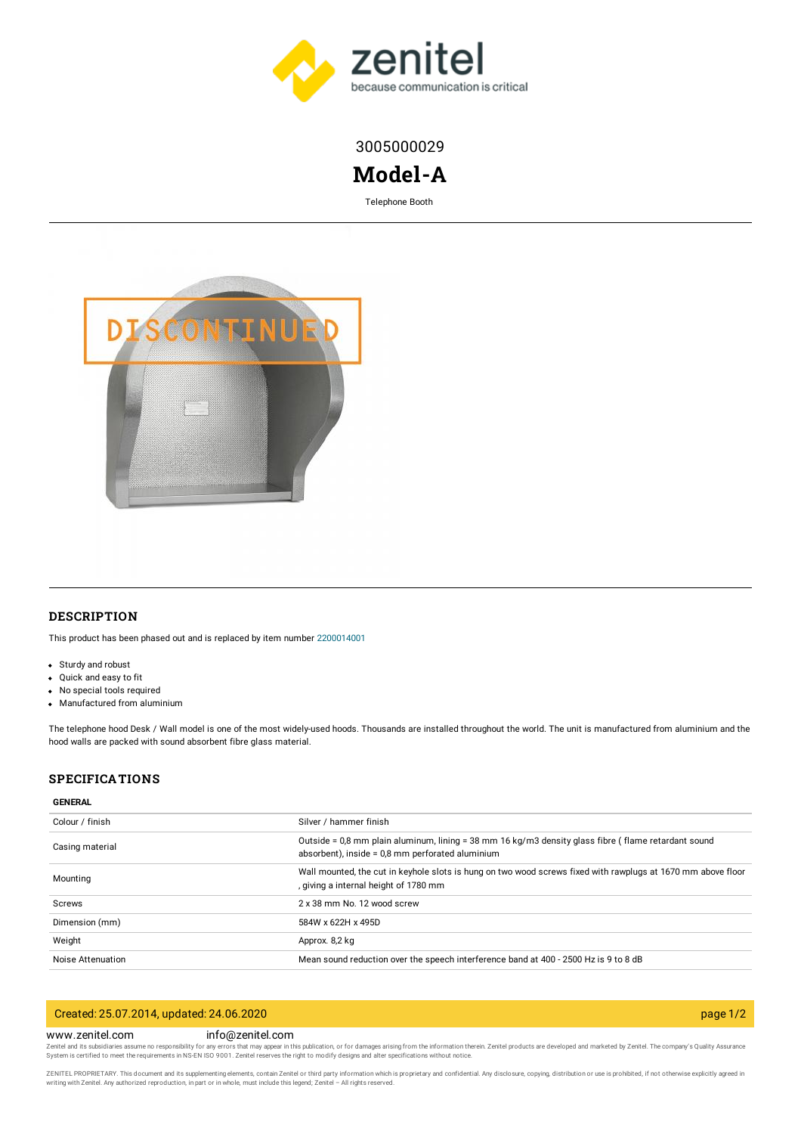

## 3005000029

# **Model-A**

Telephone Booth



#### **DESCRIPTION**

This product has been phased out and is replaced by item number [2200014001](https://www.zenitel.com/product/t2000)

- Sturdy and robust
- Quick and easy to fit
- No special tools required
- Manufactured from aluminium

The telephone hood Desk / Wall model is one of the most widely-used hoods. Thousands are installed throughout the world. The unit is manufactured from aluminium and the hood walls are packed with sound absorbent fibre glass material.

#### **SPECIFICATIONS**

| <b>GENERAL</b>    |                                                                                                                                                         |  |
|-------------------|---------------------------------------------------------------------------------------------------------------------------------------------------------|--|
| Colour / finish   | Silver / hammer finish                                                                                                                                  |  |
| Casing material   | Outside = 0.8 mm plain aluminum, lining = 38 mm 16 kg/m3 density glass fibre (flame retardant sound<br>absorbent), inside = 0,8 mm perforated aluminium |  |
| Mounting          | Wall mounted, the cut in keyhole slots is hung on two wood screws fixed with rawplugs at 1670 mm above floor<br>, giving a internal height of 1780 mm   |  |
| Screws            | 2 x 38 mm No. 12 wood screw                                                                                                                             |  |
| Dimension (mm)    | 584W x 622H x 495D                                                                                                                                      |  |
| Weight            | Approx. 8,2 kg                                                                                                                                          |  |
| Noise Attenuation | Mean sound reduction over the speech interference band at 400 - 2500 Hz is 9 to 8 dB                                                                    |  |

| Created: 25.07.2014, updated: 24.06.2020 |                  | pace 1/2 |
|------------------------------------------|------------------|----------|
| www.zenitel.com                          | into@zenitel.com |          |

Zenitel and its subsidiaries assume no responsibility for any errors that may appear in this publication, or for damages arising from the information therein. Zenitel products are developed and marketed by Zenitel. The com

ZENITEL PROPRIETARY. This document and its supplementing elements, contain Zenitel or third party information which is proprietary and confidential. Any disclosure, copying, distribution or use is prohibited, if not otherw